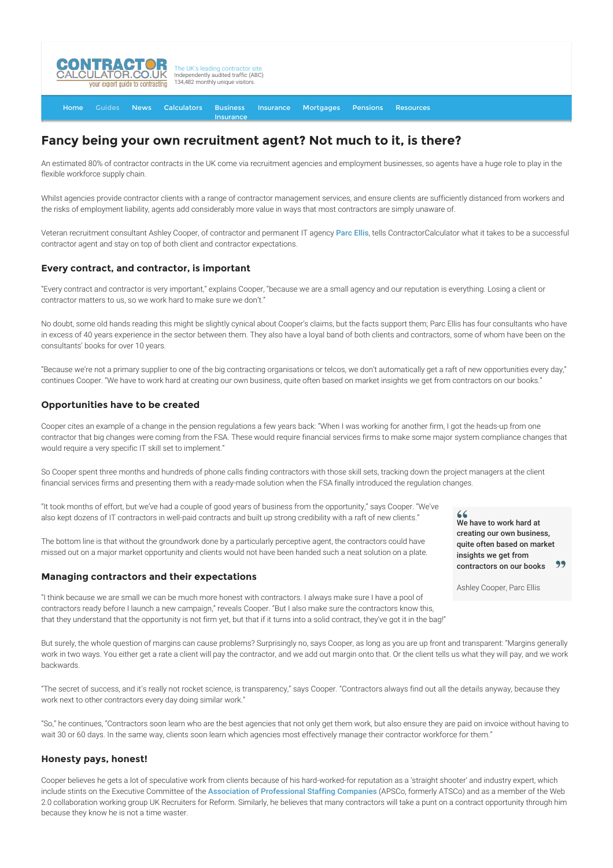

[Home](http://www.contractorcalculator.co.uk/) [Guides](http://www.contractorcalculator.co.uk/Articles.aspx) [News](http://www.contractorcalculator.co.uk/Contractor_News.aspx) [Calculators](http://www.contractorcalculator.co.uk/Calculators.aspx) Business [Insurance](http://www.contractorcalculator.co.uk/Contractor_Insurances.aspx) [Insurance](http://www.contractorcalculator.co.uk/Insurance.aspx) [Mortgages](http://www.contractorcalculator.co.uk/Contractor_Mortgages.aspx) [Pensions](http://www.contractorcalculator.co.uk/Contractor_Pensions.aspx) [Resources](http://www.contractorcalculator.co.uk/Contractor_Resources.aspx)

# **Fancy being your own recruitment agent? Not much to it, is there?**

An estimated 80% of contractor contracts in the UK come via recruitment agencies and employment businesses, so agents have a huge role to play in the flexible workforce supply chain.

Whilst agencies provide contractor clients with a range of contractor management services, and ensure clients are sufficiently distanced from workers and the risks of employment liability, agents add considerably more value in ways that most contractors are simply unaware of.

Veteran recruitment consultant Ashley Cooper, of contractor and permanent IT agency [Parc Ellis](http://www.parcellis.co.uk/), tells ContractorCalculator what it takes to be a successful contractor agent and stay on top of both client and contractor expectations.

## **Every contract, and contractor, is important**

"Every contract and contractor is very important," explains Cooper, "because we are a small agency and our reputation is everything. Losing a client or contractor matters to us, so we work hard to make sure we don't."

No doubt, some old hands reading this might be slightly cynical about Cooper's claims, but the facts support them; Parc Ellis has four consultants who have in excess of 40 years experience in the sector between them. They also have a loyal band of both clients and contractors, some of whom have been on the consultants' books for over 10 years.

"Because we're not a primary supplier to one of the big contracting organisations or telcos, we don't automatically get a raft of new opportunities every day," continues Cooper. "We have to work hard at creating our own business, quite often based on market insights we get from contractors on our books."

## **Opportunities have to be created**

Cooper cites an example of a change in the pension regulations a few years back: "When I was working for another firm, I got the heads-up from one contractor that big changes were coming from the FSA. These would require financial services firms to make some major system compliance changes that would require a very specific IT skill set to implement."

So Cooper spent three months and hundreds of phone calls finding contractors with those skill sets, tracking down the project managers at the client financial services firms and presenting them with a ready-made solution when the FSA finally introduced the regulation changes.

"It took months of effort, but we've had a couple of good years of business from the opportunity," says Cooper. "We've also kept dozens of IT contractors in well-paid contracts and built up strong credibility with a raft of new clients."

The bottom line is that without the groundwork done by a particularly perceptive agent, the contractors could have missed out on a major market opportunity and clients would not have been handed such a neat solution on a plate.

## **Managing contractors and their expectations**

"I think because we are small we can be much more honest with contractors. I always make sure I have a pool of contractors ready before I launch a new campaign," reveals Cooper. "But I also make sure the contractors know this, that they understand that the opportunity is not firm yet, but that if it turns into a solid contract, they've got it in the bag!"

But surely, the whole question of margins can cause problems? Surprisingly no, says Cooper, as long as you are up front and transparent: "Margins generally work in two ways. You either get a rate a client will pay the contractor, and we add out margin onto that. Or the client tells us what they will pay, and we work backwards.

"The secret of success, and it's really not rocket science, is transparency," says Cooper. "Contractors always find out all the details anyway, because they work next to other contractors every day doing similar work."

"So," he continues, "Contractors soon learn who are the best agencies that not only get them work, but also ensure they are paid on invoice without having to wait 30 or 60 days. In the same way, clients soon learn which agencies most effectively manage their contractor workforce for them."

## **Honesty pays, honest!**

Cooper believes he gets a lot of speculative work from clients because of his hard-worked-for reputation as a 'straight shooter' and industry expert, which include stints on the Executive Committee of the [Association of Professional Staffing Companies](http://www.apsco.org/) (APSCo, formerly ATSCo) and as a member of the Web 2.0 collaboration working group UK Recruiters for Reform. Similarly, he believes that many contractors will take a punt on a contract opportunity through him because they know he is not a time waster.

We have to work hard at creating our own business, quite often based on market insights we get from 99 contractors on our books

Ashley Cooper, Parc Ellis